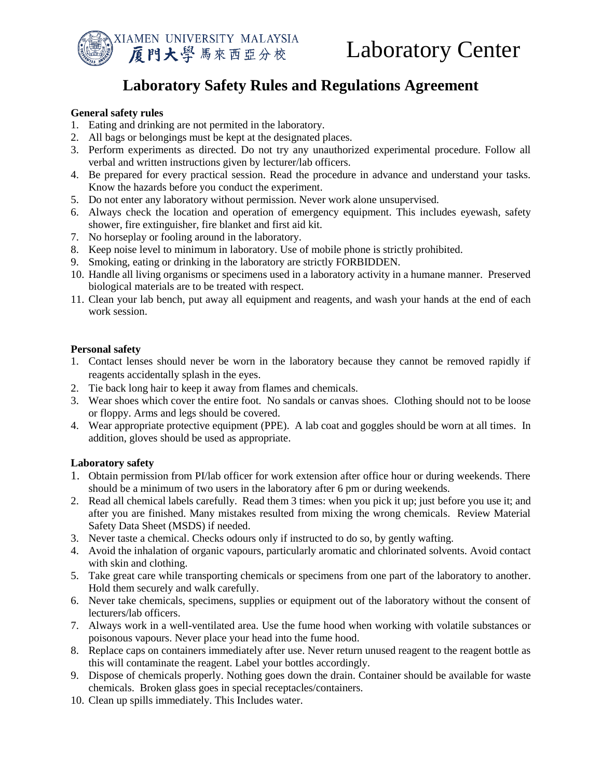

# **Laboratory Safety Rules and Regulations Agreement**

## **General safety rules**

- 1. Eating and drinking are not permited in the laboratory.
- 2. All bags or belongings must be kept at the designated places.
- 3. Perform experiments as directed. Do not try any unauthorized experimental procedure. Follow all verbal and written instructions given by lecturer/lab officers.
- 4. Be prepared for every practical session. Read the procedure in advance and understand your tasks. Know the hazards before you conduct the experiment.
- 5. Do not enter any laboratory without permission. Never work alone unsupervised.
- 6. Always check the location and operation of emergency equipment. This includes eyewash, safety shower, fire extinguisher, fire blanket and first aid kit.
- 7. No horseplay or fooling around in the laboratory.
- 8. Keep noise level to minimum in laboratory. Use of mobile phone is strictly prohibited.
- 9. Smoking, eating or drinking in the laboratory are strictly FORBIDDEN.
- 10. Handle all living organisms or specimens used in a laboratory activity in a humane manner. Preserved biological materials are to be treated with respect.
- 11. Clean your lab bench, put away all equipment and reagents, and wash your hands at the end of each work session.

## **Personal safety**

- 1. Contact lenses should never be worn in the laboratory because they cannot be removed rapidly if reagents accidentally splash in the eyes.
- 2. Tie back long hair to keep it away from flames and chemicals.
- 3. Wear shoes which cover the entire foot. No sandals or canvas shoes. Clothing should not to be loose or floppy. Arms and legs should be covered.
- 4. Wear appropriate protective equipment (PPE). A lab coat and goggles should be worn at all times. In addition, gloves should be used as appropriate.

### **Laboratory safety**

- 1. Obtain permission from PI/lab officer for work extension after office hour or during weekends. There should be a minimum of two users in the laboratory after 6 pm or during weekends.
- 2. Read all chemical labels carefully. Read them 3 times: when you pick it up; just before you use it; and after you are finished. Many mistakes resulted from mixing the wrong chemicals. Review Material Safety Data Sheet (MSDS) if needed.
- 3. Never taste a chemical. Checks odours only if instructed to do so, by gently wafting.
- 4. Avoid the inhalation of organic vapours, particularly aromatic and chlorinated solvents. Avoid contact with skin and clothing.
- 5. Take great care while transporting chemicals or specimens from one part of the laboratory to another. Hold them securely and walk carefully.
- 6. Never take chemicals, specimens, supplies or equipment out of the laboratory without the consent of lecturers/lab officers.
- 7. Always work in a well-ventilated area. Use the fume hood when working with volatile substances or poisonous vapours. Never place your head into the fume hood.
- 8. Replace caps on containers immediately after use. Never return unused reagent to the reagent bottle as this will contaminate the reagent. Label your bottles accordingly.
- 9. Dispose of chemicals properly. Nothing goes down the drain. Container should be available for waste chemicals. Broken glass goes in special receptacles/containers.
- 10. Clean up spills immediately. This Includes water.